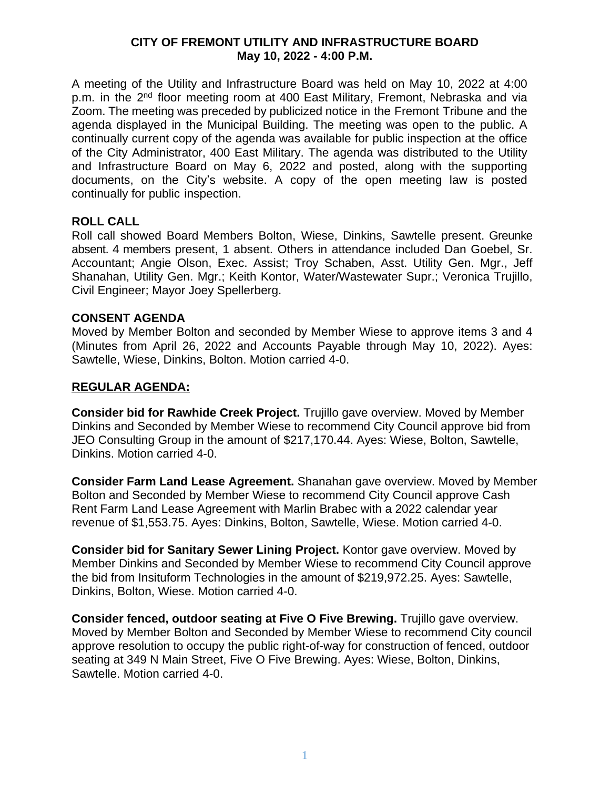## **CITY OF FREMONT UTILITY AND INFRASTRUCTURE BOARD May 10, 2022 - 4:00 P.M.**

A meeting of the Utility and Infrastructure Board was held on May 10, 2022 at 4:00 p.m. in the 2<sup>nd</sup> floor meeting room at 400 East Military, Fremont, Nebraska and via Zoom. The meeting was preceded by publicized notice in the Fremont Tribune and the agenda displayed in the Municipal Building. The meeting was open to the public. A continually current copy of the agenda was available for public inspection at the office of the City Administrator, 400 East Military. The agenda was distributed to the Utility and Infrastructure Board on May 6, 2022 and posted, along with the supporting documents, on the City's website. A copy of the open meeting law is posted continually for public inspection.

### **ROLL CALL**

Roll call showed Board Members Bolton, Wiese, Dinkins, Sawtelle present. Greunke absent. 4 members present, 1 absent. Others in attendance included Dan Goebel, Sr. Accountant; Angie Olson, Exec. Assist; Troy Schaben, Asst. Utility Gen. Mgr., Jeff Shanahan, Utility Gen. Mgr.; Keith Kontor, Water/Wastewater Supr.; Veronica Trujillo, Civil Engineer; Mayor Joey Spellerberg.

### **CONSENT AGENDA**

Moved by Member Bolton and seconded by Member Wiese to approve items 3 and 4 (Minutes from April 26, 2022 and Accounts Payable through May 10, 2022). Ayes: Sawtelle, Wiese, Dinkins, Bolton. Motion carried 4-0.

### **REGULAR AGENDA:**

**Consider bid for Rawhide Creek Project.** Trujillo gave overview. Moved by Member Dinkins and Seconded by Member Wiese to recommend City Council approve bid from JEO Consulting Group in the amount of \$217,170.44. Ayes: Wiese, Bolton, Sawtelle, Dinkins. Motion carried 4-0.

**Consider Farm Land Lease Agreement.** Shanahan gave overview. Moved by Member Bolton and Seconded by Member Wiese to recommend City Council approve Cash Rent Farm Land Lease Agreement with Marlin Brabec with a 2022 calendar year revenue of \$1,553.75. Ayes: Dinkins, Bolton, Sawtelle, Wiese. Motion carried 4-0.

**Consider bid for Sanitary Sewer Lining Project.** Kontor gave overview. Moved by Member Dinkins and Seconded by Member Wiese to recommend City Council approve the bid from Insituform Technologies in the amount of \$219,972.25. Ayes: Sawtelle, Dinkins, Bolton, Wiese. Motion carried 4-0.

**Consider fenced, outdoor seating at Five O Five Brewing.** Trujillo gave overview. Moved by Member Bolton and Seconded by Member Wiese to recommend City council approve resolution to occupy the public right-of-way for construction of fenced, outdoor seating at 349 N Main Street, Five O Five Brewing. Ayes: Wiese, Bolton, Dinkins, Sawtelle. Motion carried 4-0.